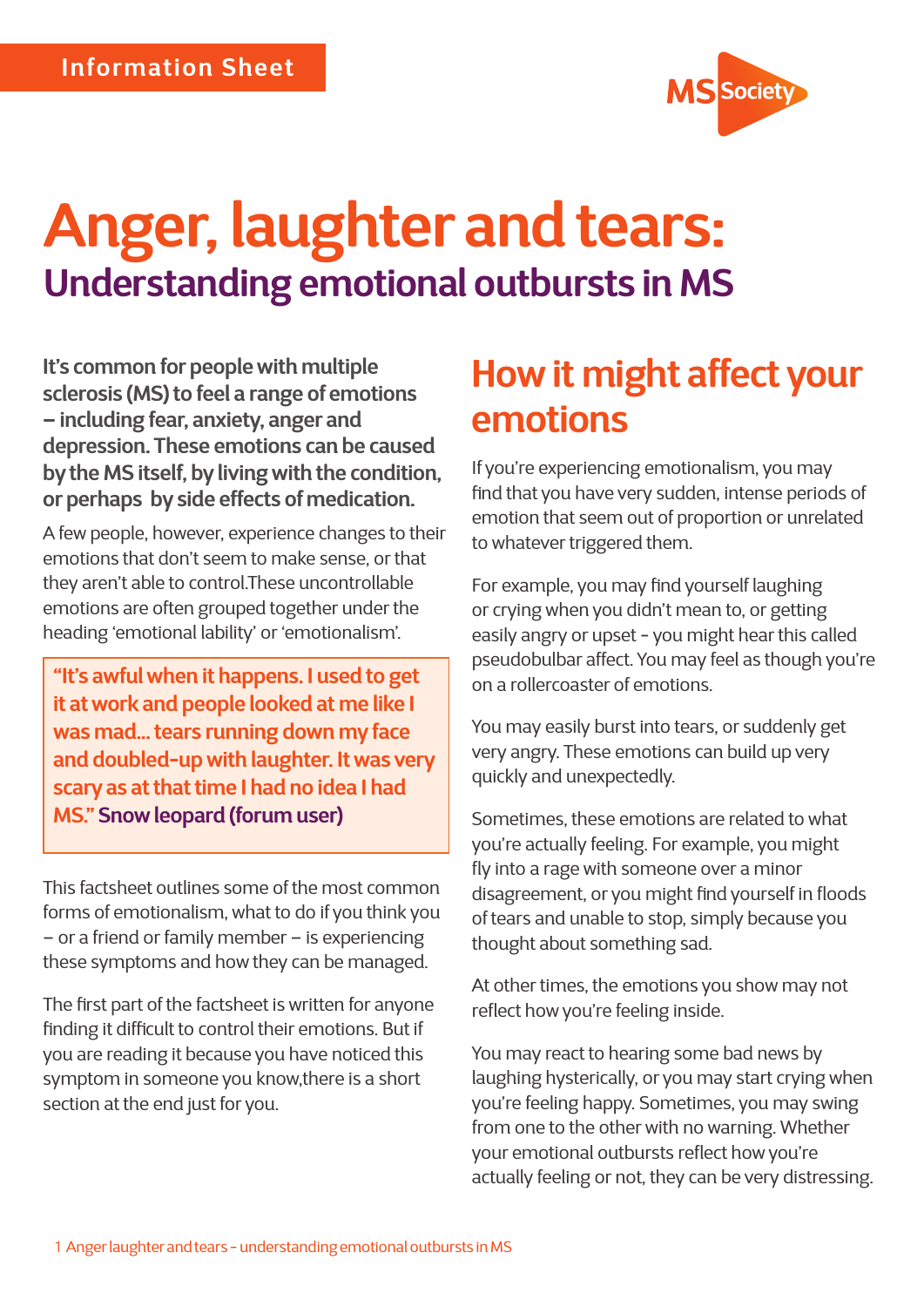

# **Anger, laughter and tears: Understanding emotional outbursts in MS**

**It's common for people with multiple sclerosis (MS) to feel a range of emotions – including fear, anxiety, anger and depression. These emotions can be caused by the MS itself, by living with the condition, or perhaps by side effects of medication.** 

A few people, however, experience changes to their emotions that don't seem to make sense, or that they aren't able to control.These uncontrollable emotions are often grouped together under the heading 'emotional lability' or 'emotionalism'.

**"It's awful when it happens. I used to get it at work and people looked at me like I was mad... tears running down my face and doubled-up with laughter. It was very scary as at that time I had no idea I had MS." Snow leopard (forum user)**

This factsheet outlines some of the most common forms of emotionalism, what to do if you think you – or a friend or family member – is experiencing these symptoms and how they can be managed.

The first part of the factsheet is written for anyone finding it difficult to control their emotions. But if you are reading it because you have noticed this symptom in someone you know,there is a short section at the end just for you.

### **How it might affect your emotions**

If you're experiencing emotionalism, you may find that you have very sudden, intense periods of emotion that seem out of proportion or unrelated to whatever triggered them.

For example, you may find yourself laughing or crying when you didn't mean to, or getting easily angry or upset - you might hear this called pseudobulbar affect. You may feel as though you're on a rollercoaster of emotions.

You may easily burst into tears, or suddenly get very angry. These emotions can build up very quickly and unexpectedly.

Sometimes, these emotions are related to what you're actually feeling. For example, you might fly into a rage with someone over a minor disagreement, or you might find yourself in floods of tears and unable to stop, simply because you thought about something sad.

At other times, the emotions you show may not reflect how you're feeling inside.

You may react to hearing some bad news by laughing hysterically, or you may start crying when you're feeling happy. Sometimes, you may swing from one to the other with no warning. Whether your emotional outbursts reflect how you're actually feeling or not, they can be very distressing.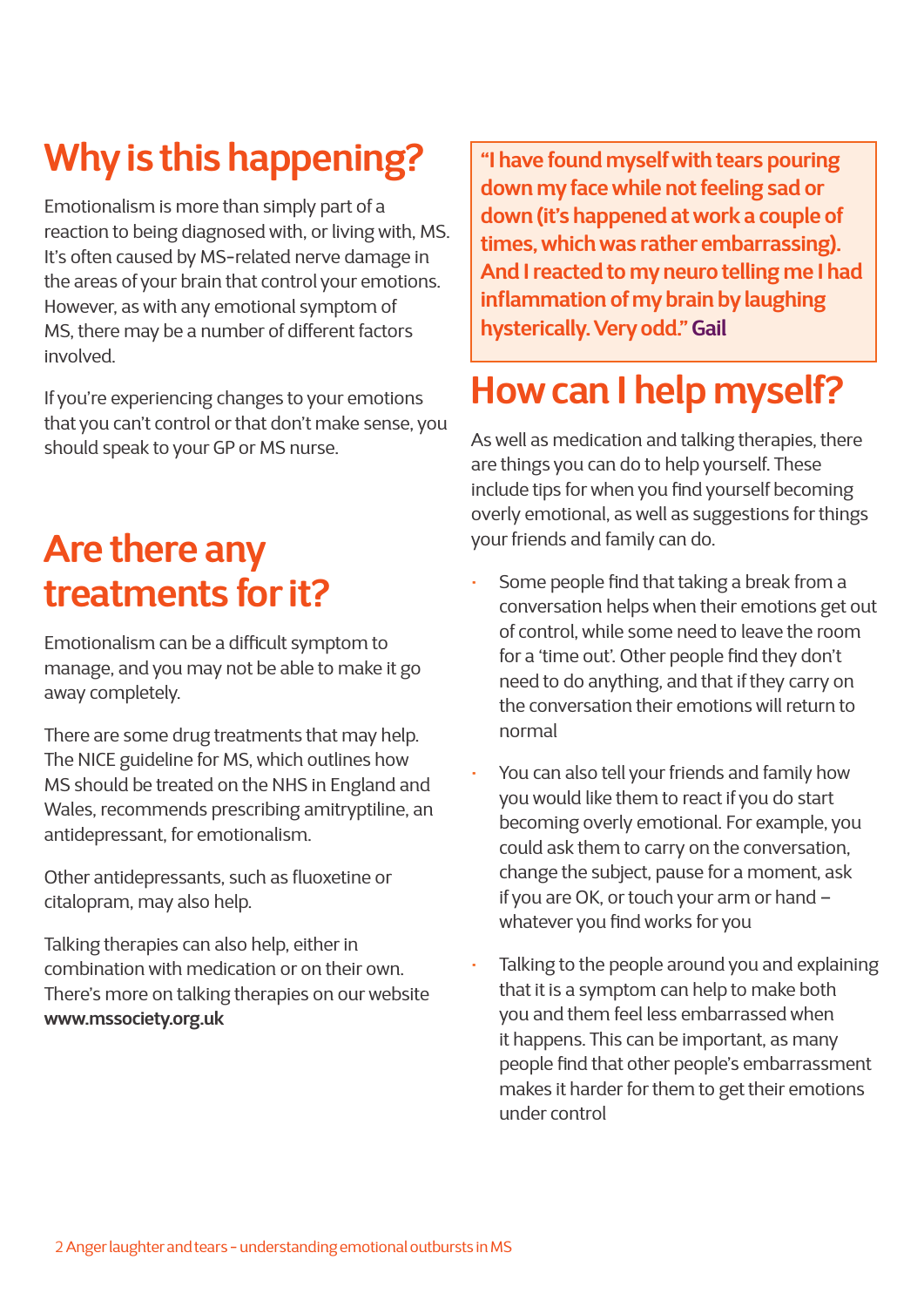## **Why is this happening?**

Emotionalism is more than simply part of a reaction to being diagnosed with, or living with, MS. It's often caused by MS-related nerve damage in the areas of your brain that control your emotions. However, as with any emotional symptom of MS, there may be a number of different factors involved.

If you're experiencing changes to your emotions that you can't control or that don't make sense, you should speak to your GP or MS nurse.

### **Are there any treatments for it?**

Emotionalism can be a difficult symptom to manage, and you may not be able to make it go away completely.

There are some drug treatments that may help. The NICE guideline for MS, which outlines how MS should be treated on the NHS in England and Wales, recommends prescribing amitryptiline, an antidepressant, for emotionalism.

Other antidepressants, such as fluoxetine or citalopram, may also help.

Talking therapies can also help, either in combination with medication or on their own. There's more on talking therapies on our website **www.mssociety.org.uk**

**"I have found myself with tears pouring down my face while not feeling sad or down (it's happened at work a couple of times, which was rather embarrassing). And I reacted to my neuro telling me I had inflammation of my brain by laughing hysterically. Very odd." Gail**

## **How can I help myself?**

As well as medication and talking therapies, there are things you can do to help yourself. These include tips for when you find yourself becoming overly emotional, as well as suggestions for things your friends and family can do.

- Some people find that taking a break from a conversation helps when their emotions get out of control, while some need to leave the room for a 'time out'. Other people find they don't need to do anything, and that if they carry on the conversation their emotions will return to normal
- You can also tell your friends and family how you would like them to react if you do start becoming overly emotional. For example, you could ask them to carry on the conversation, change the subject, pause for a moment, ask if you are OK, or touch your arm or hand – whatever you find works for you
- Talking to the people around you and explaining that it is a symptom can help to make both you and them feel less embarrassed when it happens. This can be important, as many people find that other people's embarrassment makes it harder for them to get their emotions under control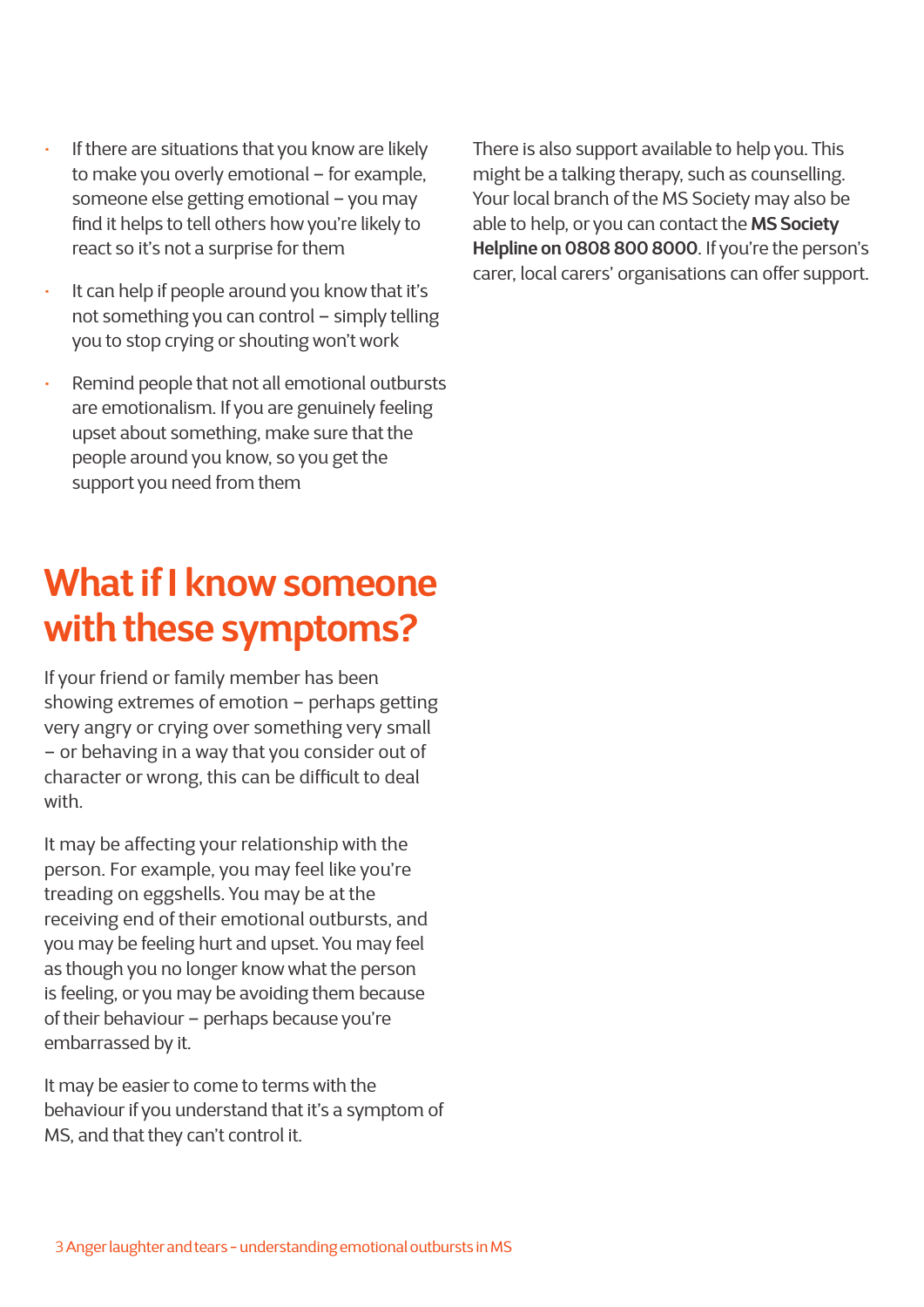- If there are situations that you know are likely to make you overly emotional – for example, someone else getting emotional – you may find it helps to tell others how you're likely to react so it's not a surprise for them
- It can help if people around you know that it's not something you can control – simply telling you to stop crying or shouting won't work
- Remind people that not all emotional outbursts are emotionalism. If you are genuinely feeling upset about something, make sure that the people around you know, so you get the support you need from them

### **What if I know someone with these symptoms?**

If your friend or family member has been showing extremes of emotion – perhaps getting very angry or crying over something very small – or behaving in a way that you consider out of character or wrong, this can be difficult to deal with.

It may be affecting your relationship with the person. For example, you may feel like you're treading on eggshells. You may be at the receiving end of their emotional outbursts, and you may be feeling hurt and upset. You may feel as though you no longer know what the person is feeling, or you may be avoiding them because of their behaviour – perhaps because you're embarrassed by it.

It may be easier to come to terms with the behaviour if you understand that it's a symptom of MS, and that they can't control it.

There is also support available to help you. This might be a talking therapy, such as counselling. Your local branch of the MS Society may also be able to help, or you can contact the **MS Society Helpline on 0808 800 8000**. If you're the person's carer, local carers' organisations can offer support.